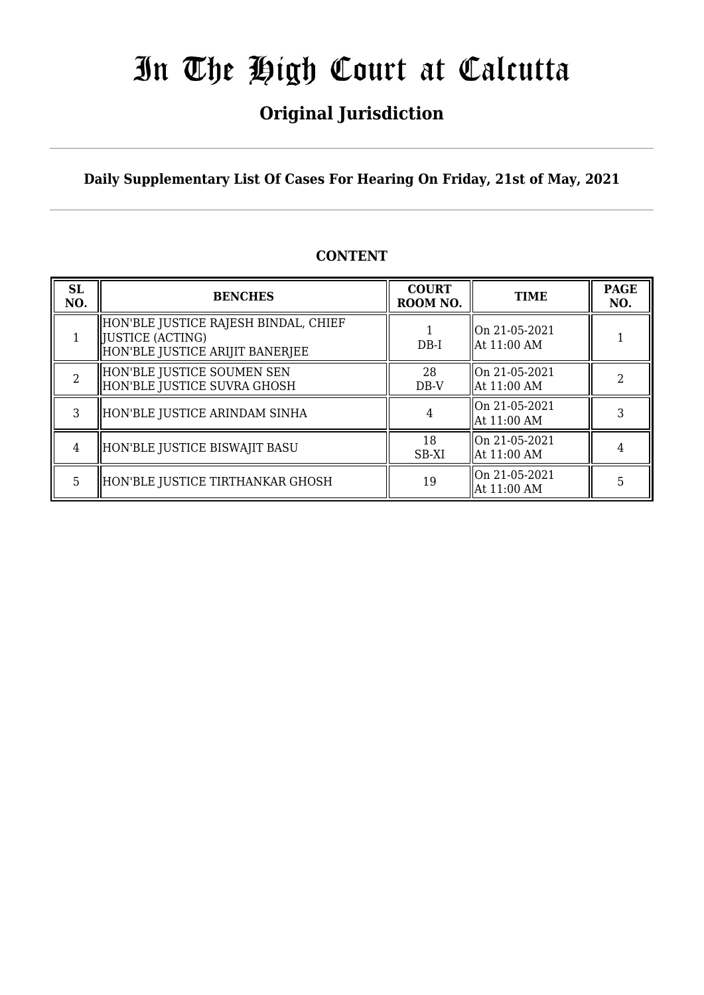## **Original Jurisdiction**

#### **Daily Supplementary List Of Cases For Hearing On Friday, 21st of May, 2021**

### **CONTENT**

| <b>SL</b><br>NO. | <b>BENCHES</b>                                                                                | <b>COURT</b><br>ROOM NO. | <b>TIME</b>                                | <b>PAGE</b><br>NO. |
|------------------|-----------------------------------------------------------------------------------------------|--------------------------|--------------------------------------------|--------------------|
|                  | HON'BLE JUSTICE RAJESH BINDAL, CHIEF<br>  JUSTICE (ACTING)<br>HON'BLE JUSTICE ARIJIT BANERJEE | $DB-I$                   | On 21-05-2021<br>  At 11:00 AM             |                    |
| $\mathcal{D}$    | HON'BLE JUSTICE SOUMEN SEN<br>HON'BLE JUSTICE SUVRA GHOSH                                     | 28<br>DB-V               | $\parallel$ On 21-05-2021<br>  At 11:00 AM |                    |
| 3                | HON'BLE JUSTICE ARINDAM SINHA                                                                 |                          | On 21-05-2021<br>  At 11:00 AM             |                    |
| 4                | HON'BLE JUSTICE BISWAJIT BASU                                                                 | 18<br>SB-XI              | llOn 21-05-2021<br>  At 11:00 AM           |                    |
| 5.               | HON'BLE JUSTICE TIRTHANKAR GHOSH                                                              | 19                       | On 21-05-2021<br>  At 11:00 AM             | 5                  |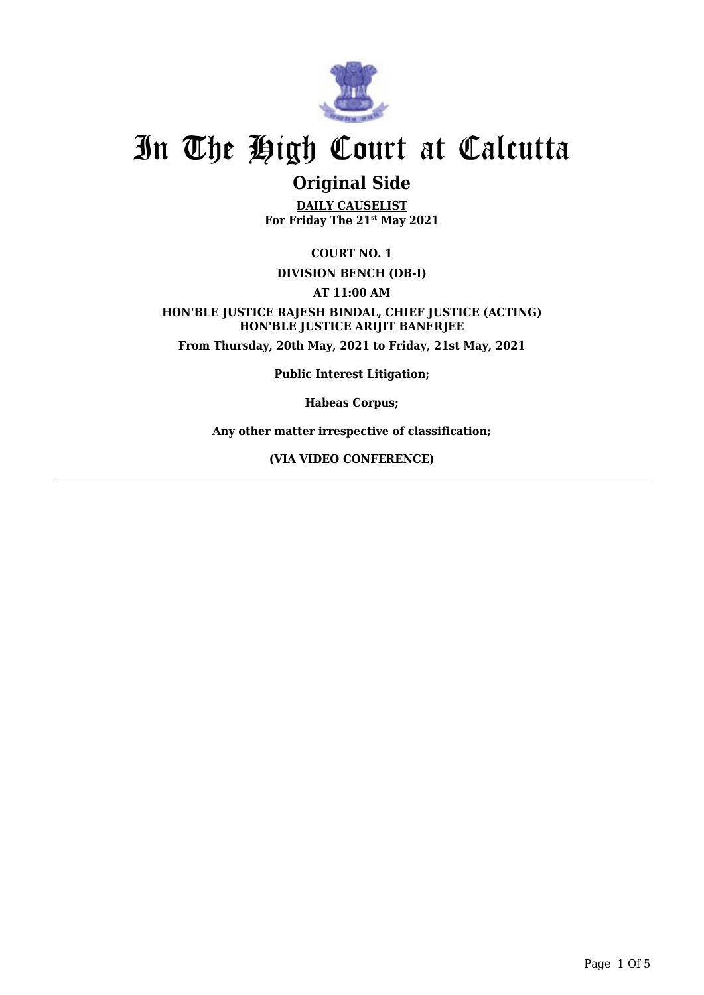

### **Original Side**

**DAILY CAUSELIST For Friday The 21st May 2021**

**COURT NO. 1**

**DIVISION BENCH (DB-I)**

**AT 11:00 AM**

**HON'BLE JUSTICE RAJESH BINDAL, CHIEF JUSTICE (ACTING) HON'BLE JUSTICE ARIJIT BANERJEE From Thursday, 20th May, 2021 to Friday, 21st May, 2021**

**Public Interest Litigation;**

**Habeas Corpus;**

**Any other matter irrespective of classification;**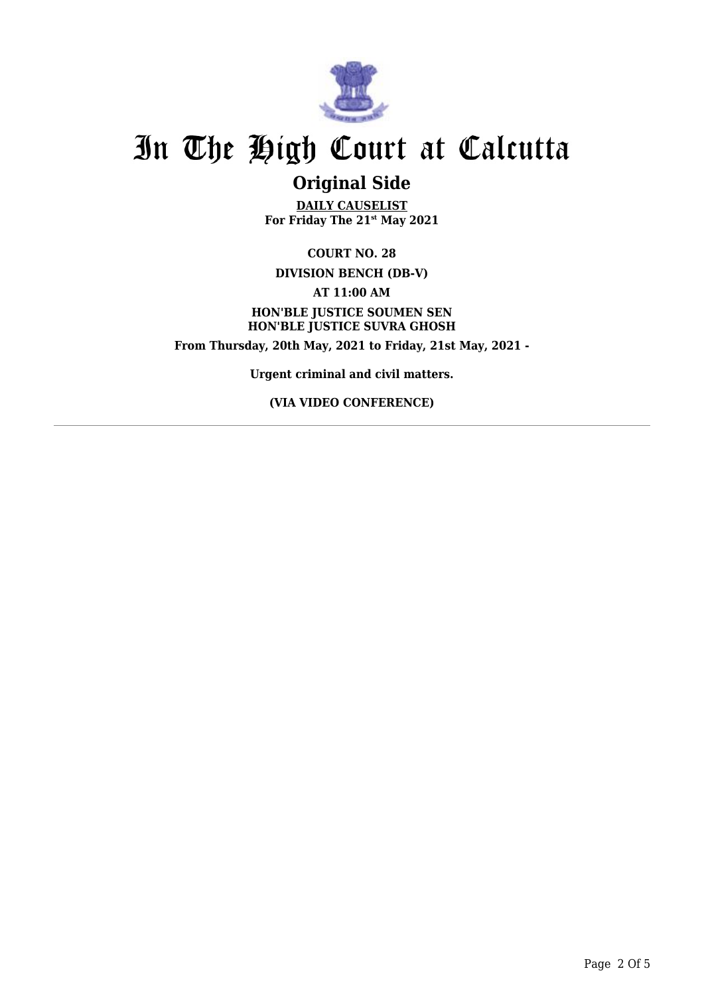

### **Original Side**

**DAILY CAUSELIST For Friday The 21st May 2021**

**COURT NO. 28 DIVISION BENCH (DB-V) AT 11:00 AM HON'BLE JUSTICE SOUMEN SEN HON'BLE JUSTICE SUVRA GHOSH From Thursday, 20th May, 2021 to Friday, 21st May, 2021 -**

**Urgent criminal and civil matters.**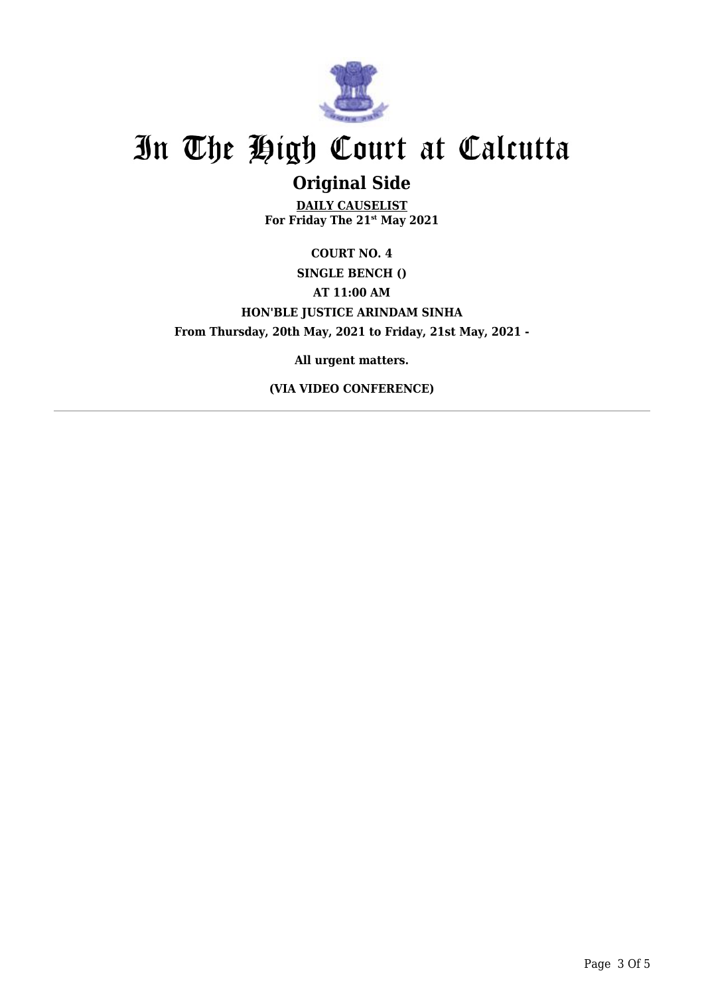

## **Original Side**

**DAILY CAUSELIST For Friday The 21st May 2021**

**COURT NO. 4 SINGLE BENCH () AT 11:00 AM HON'BLE JUSTICE ARINDAM SINHA From Thursday, 20th May, 2021 to Friday, 21st May, 2021 -**

**All urgent matters.**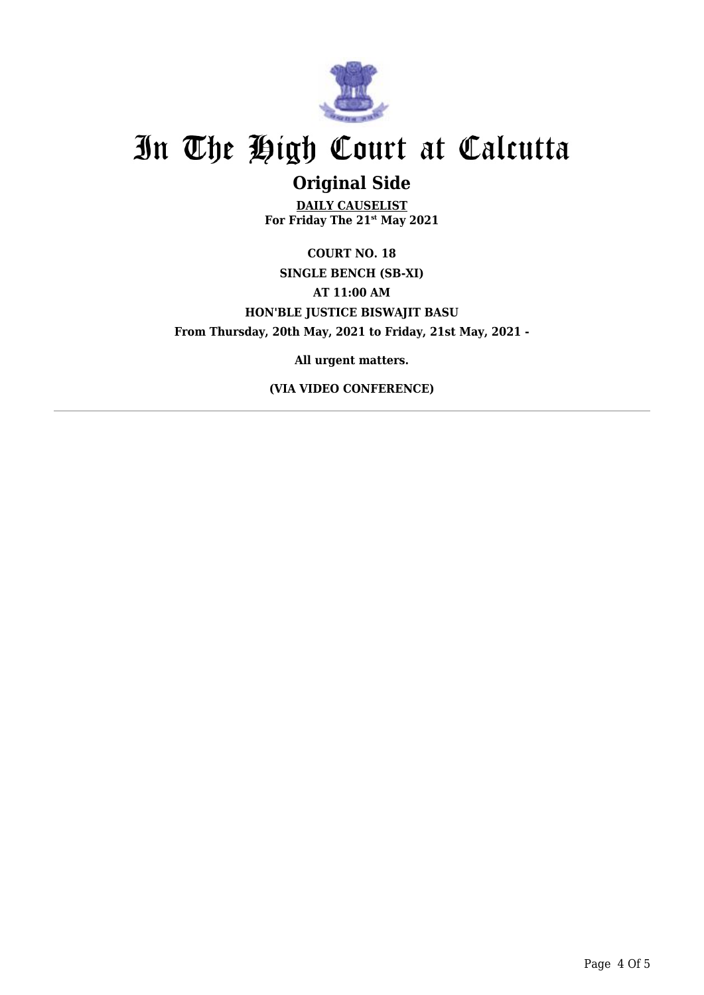

### **Original Side**

**DAILY CAUSELIST For Friday The 21st May 2021**

**COURT NO. 18 SINGLE BENCH (SB-XI) AT 11:00 AM HON'BLE JUSTICE BISWAJIT BASU From Thursday, 20th May, 2021 to Friday, 21st May, 2021 -**

**All urgent matters.**